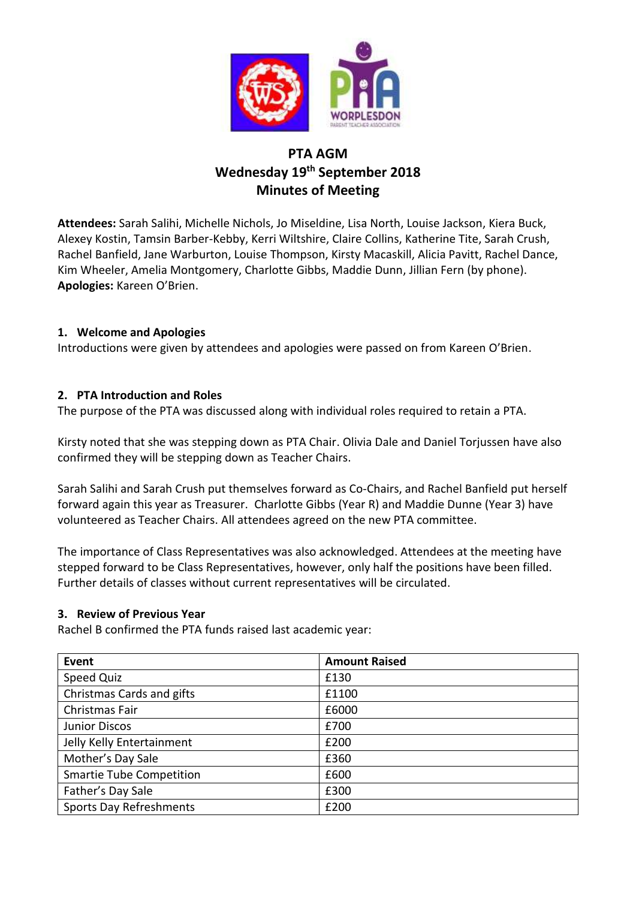

# **PTA AGM Wednesday 19th September 2018 Minutes of Meeting**

**Attendees:** Sarah Salihi, Michelle Nichols, Jo Miseldine, Lisa North, Louise Jackson, Kiera Buck, Alexey Kostin, Tamsin Barber-Kebby, Kerri Wiltshire, Claire Collins, Katherine Tite, Sarah Crush, Rachel Banfield, Jane Warburton, Louise Thompson, Kirsty Macaskill, Alicia Pavitt, Rachel Dance, Kim Wheeler, Amelia Montgomery, Charlotte Gibbs, Maddie Dunn, Jillian Fern (by phone). **Apologies:** Kareen O'Brien.

#### **1. Welcome and Apologies**

Introductions were given by attendees and apologies were passed on from Kareen O'Brien.

#### **2. PTA Introduction and Roles**

The purpose of the PTA was discussed along with individual roles required to retain a PTA.

Kirsty noted that she was stepping down as PTA Chair. Olivia Dale and Daniel Torjussen have also confirmed they will be stepping down as Teacher Chairs.

Sarah Salihi and Sarah Crush put themselves forward as Co-Chairs, and Rachel Banfield put herself forward again this year as Treasurer. Charlotte Gibbs (Year R) and Maddie Dunne (Year 3) have volunteered as Teacher Chairs. All attendees agreed on the new PTA committee.

The importance of Class Representatives was also acknowledged. Attendees at the meeting have stepped forward to be Class Representatives, however, only half the positions have been filled. Further details of classes without current representatives will be circulated.

#### **3. Review of Previous Year**

Rachel B confirmed the PTA funds raised last academic year:

| Event                           | <b>Amount Raised</b> |
|---------------------------------|----------------------|
| <b>Speed Quiz</b>               | £130                 |
| Christmas Cards and gifts       | £1100                |
| Christmas Fair                  | £6000                |
| <b>Junior Discos</b>            | £700                 |
| Jelly Kelly Entertainment       | £200                 |
| Mother's Day Sale               | £360                 |
| <b>Smartie Tube Competition</b> | £600                 |
| Father's Day Sale               | £300                 |
| <b>Sports Day Refreshments</b>  | £200                 |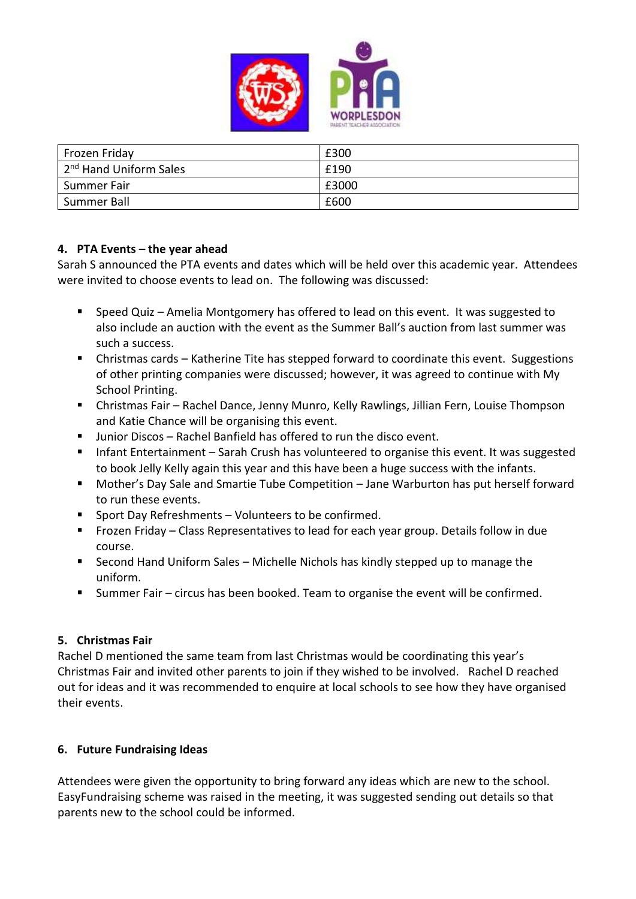

| Frozen Friday                       | £300  |
|-------------------------------------|-------|
| 12 <sup>nd</sup> Hand Uniform Sales | £190  |
| Summer Fair                         | £3000 |
| Summer Ball                         | £600  |

#### **4. PTA Events – the year ahead**

Sarah S announced the PTA events and dates which will be held over this academic year. Attendees were invited to choose events to lead on. The following was discussed:

- Speed Quiz Amelia Montgomery has offered to lead on this event. It was suggested to also include an auction with the event as the Summer Ball's auction from last summer was such a success.
- Christmas cards Katherine Tite has stepped forward to coordinate this event. Suggestions of other printing companies were discussed; however, it was agreed to continue with My School Printing.
- Christmas Fair Rachel Dance, Jenny Munro, Kelly Rawlings, Jillian Fern, Louise Thompson and Katie Chance will be organising this event.
- Junior Discos Rachel Banfield has offered to run the disco event.
- **Infant Entertainment Sarah Crush has volunteered to organise this event. It was suggested** to book Jelly Kelly again this year and this have been a huge success with the infants.
- Mother's Day Sale and Smartie Tube Competition Jane Warburton has put herself forward to run these events.
- **Sport Day Refreshments Volunteers to be confirmed.**
- Frozen Friday Class Representatives to lead for each year group. Details follow in due course.
- Second Hand Uniform Sales Michelle Nichols has kindly stepped up to manage the uniform.
- Summer Fair circus has been booked. Team to organise the event will be confirmed.

## **5. Christmas Fair**

Rachel D mentioned the same team from last Christmas would be coordinating this year's Christmas Fair and invited other parents to join if they wished to be involved. Rachel D reached out for ideas and it was recommended to enquire at local schools to see how they have organised their events.

#### **6. Future Fundraising Ideas**

Attendees were given the opportunity to bring forward any ideas which are new to the school. EasyFundraising scheme was raised in the meeting, it was suggested sending out details so that parents new to the school could be informed.